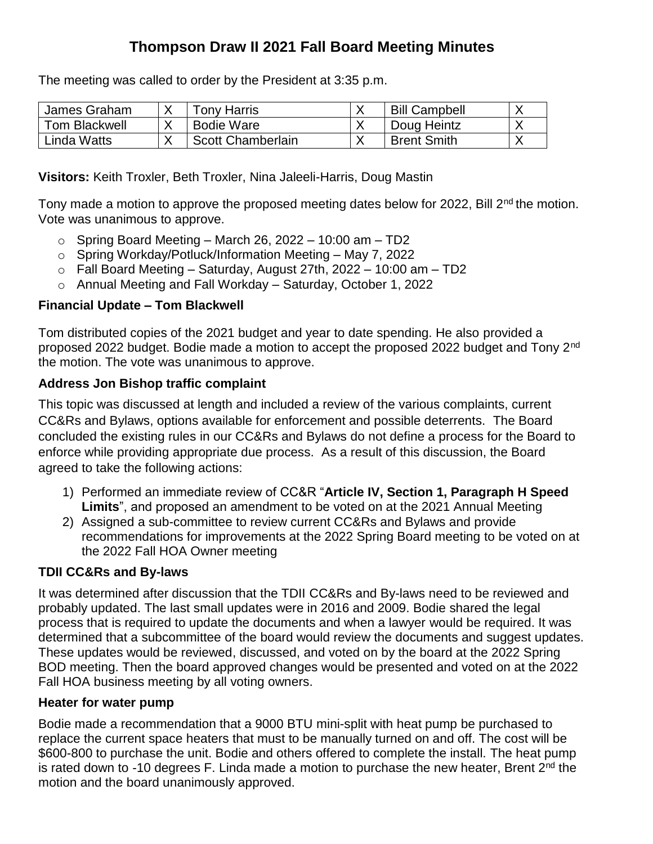# **Thompson Draw II 2021 Fall Board Meeting Minutes**

The meeting was called to order by the President at 3:35 p.m.

| James Graham  | Tonv Harris       | <b>Bill Campbell</b>     |  |
|---------------|-------------------|--------------------------|--|
| Tom Blackwell | Bodie Ware        | Doug Heintz              |  |
| Linda Watts   | Scott Chamberlain | <sup>1</sup> Brent Smith |  |

**Visitors:** Keith Troxler, Beth Troxler, Nina Jaleeli-Harris, Doug Mastin

Tony made a motion to approve the proposed meeting dates below for 2022, Bill 2<sup>nd</sup> the motion. Vote was unanimous to approve.

- $\circ$  Spring Board Meeting March 26, 2022 10:00 am TD2
- o Spring Workday/Potluck/Information Meeting May 7, 2022
- $\circ$  Fall Board Meeting Saturday, August 27th, 2022 10:00 am TD2
- o Annual Meeting and Fall Workday Saturday, October 1, 2022

## **Financial Update – Tom Blackwell**

Tom distributed copies of the 2021 budget and year to date spending. He also provided a proposed 2022 budget. Bodie made a motion to accept the proposed 2022 budget and Tony 2<sup>nd</sup> the motion. The vote was unanimous to approve.

## **Address Jon Bishop traffic complaint**

This topic was discussed at length and included a review of the various complaints, current CC&Rs and Bylaws, options available for enforcement and possible deterrents. The Board concluded the existing rules in our CC&Rs and Bylaws do not define a process for the Board to enforce while providing appropriate due process. As a result of this discussion, the Board agreed to take the following actions:

- 1) Performed an immediate review of CC&R "**Article IV, Section 1, Paragraph H Speed Limits**", and proposed an amendment to be voted on at the 2021 Annual Meeting
- 2) Assigned a sub-committee to review current CC&Rs and Bylaws and provide recommendations for improvements at the 2022 Spring Board meeting to be voted on at the 2022 Fall HOA Owner meeting

## **TDII CC&Rs and By-laws**

It was determined after discussion that the TDII CC&Rs and By-laws need to be reviewed and probably updated. The last small updates were in 2016 and 2009. Bodie shared the legal process that is required to update the documents and when a lawyer would be required. It was determined that a subcommittee of the board would review the documents and suggest updates. These updates would be reviewed, discussed, and voted on by the board at the 2022 Spring BOD meeting. Then the board approved changes would be presented and voted on at the 2022 Fall HOA business meeting by all voting owners.

## **Heater for water pump**

Bodie made a recommendation that a 9000 BTU mini-split with heat pump be purchased to replace the current space heaters that must to be manually turned on and off. The cost will be \$600-800 to purchase the unit. Bodie and others offered to complete the install. The heat pump is rated down to -10 degrees F. Linda made a motion to purchase the new heater, Brent  $2^{nd}$  the motion and the board unanimously approved.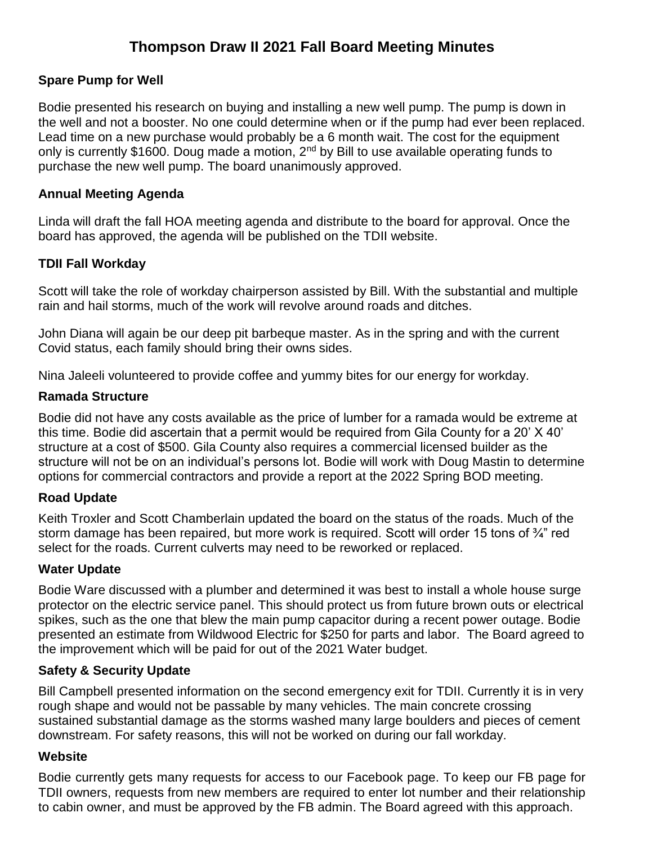# **Thompson Draw II 2021 Fall Board Meeting Minutes**

## **Spare Pump for Well**

Bodie presented his research on buying and installing a new well pump. The pump is down in the well and not a booster. No one could determine when or if the pump had ever been replaced. Lead time on a new purchase would probably be a 6 month wait. The cost for the equipment only is currently \$1600. Doug made a motion, 2<sup>nd</sup> by Bill to use available operating funds to purchase the new well pump. The board unanimously approved.

#### **Annual Meeting Agenda**

Linda will draft the fall HOA meeting agenda and distribute to the board for approval. Once the board has approved, the agenda will be published on the TDII website.

#### **TDII Fall Workday**

Scott will take the role of workday chairperson assisted by Bill. With the substantial and multiple rain and hail storms, much of the work will revolve around roads and ditches.

John Diana will again be our deep pit barbeque master. As in the spring and with the current Covid status, each family should bring their owns sides.

Nina Jaleeli volunteered to provide coffee and yummy bites for our energy for workday.

#### **Ramada Structure**

Bodie did not have any costs available as the price of lumber for a ramada would be extreme at this time. Bodie did ascertain that a permit would be required from Gila County for a 20' X 40' structure at a cost of \$500. Gila County also requires a commercial licensed builder as the structure will not be on an individual's persons lot. Bodie will work with Doug Mastin to determine options for commercial contractors and provide a report at the 2022 Spring BOD meeting.

## **Road Update**

Keith Troxler and Scott Chamberlain updated the board on the status of the roads. Much of the storm damage has been repaired, but more work is required. Scott will order 15 tons of 3<sup>4</sup> red select for the roads. Current culverts may need to be reworked or replaced.

#### **Water Update**

Bodie Ware discussed with a plumber and determined it was best to install a whole house surge protector on the electric service panel. This should protect us from future brown outs or electrical spikes, such as the one that blew the main pump capacitor during a recent power outage. Bodie presented an estimate from Wildwood Electric for \$250 for parts and labor. The Board agreed to the improvement which will be paid for out of the 2021 Water budget.

## **Safety & Security Update**

Bill Campbell presented information on the second emergency exit for TDII. Currently it is in very rough shape and would not be passable by many vehicles. The main concrete crossing sustained substantial damage as the storms washed many large boulders and pieces of cement downstream. For safety reasons, this will not be worked on during our fall workday.

#### **Website**

Bodie currently gets many requests for access to our Facebook page. To keep our FB page for TDII owners, requests from new members are required to enter lot number and their relationship to cabin owner, and must be approved by the FB admin. The Board agreed with this approach.